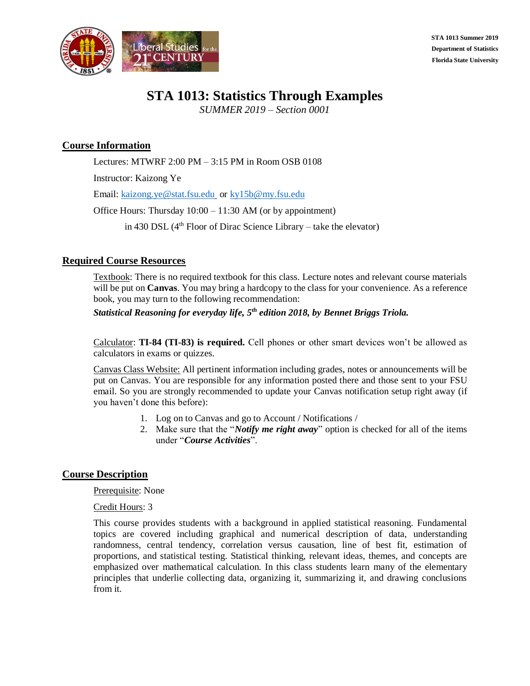

**STA 1013 Summer 2019 Department of Statistics Florida State University**

# **STA 1013: Statistics Through Examples**

*SUMMER 2019 – Section 0001*

# **Course Information**

Lectures: MTWRF 2:00 PM – 3:15 PM in Room OSB 0108

Instructor: Kaizong Ye

Email: [kaizong.ye@stat.fsu.edu](mailto:kaizong.ye@stat.fsu.edu) or [ky15b@my.fsu.edu](mailto:ky15b@my.fsu.edu)

Office Hours: Thursday 10:00 – 11:30 AM (or by appointment)

in 430 DSL  $(4<sup>th</sup>$  Floor of Dirac Science Library – take the elevator)

# **Required Course Resources**

Textbook: There is no required textbook for this class. Lecture notes and relevant course materials will be put on **Canvas**. You may bring a hardcopy to the class for your convenience. As a reference book, you may turn to the following recommendation:

*Statistical Reasoning for everyday life, 5th edition 2018, by Bennet Briggs Triola.*

Calculator: **TI-84 (TI-83) is required.** Cell phones or other smart devices won't be allowed as calculators in exams or quizzes.

Canvas Class Website: All pertinent information including grades, notes or announcements will be put on Canvas. You are responsible for any information posted there and those sent to your FSU email. So you are strongly recommended to update your Canvas notification setup right away (if you haven't done this before):

- 1. Log on to Canvas and go to Account / Notifications /
- 2. Make sure that the "*Notify me right away*" option is checked for all of the items under "*Course Activities*".

# **Course Description**

Prerequisite: None

Credit Hours: 3

This course provides students with a background in applied statistical reasoning. Fundamental topics are covered including graphical and numerical description of data, understanding randomness, central tendency, correlation versus causation, line of best fit, estimation of proportions, and statistical testing. Statistical thinking, relevant ideas, themes, and concepts are emphasized over mathematical calculation. In this class students learn many of the elementary principles that underlie collecting data, organizing it, summarizing it, and drawing conclusions from it.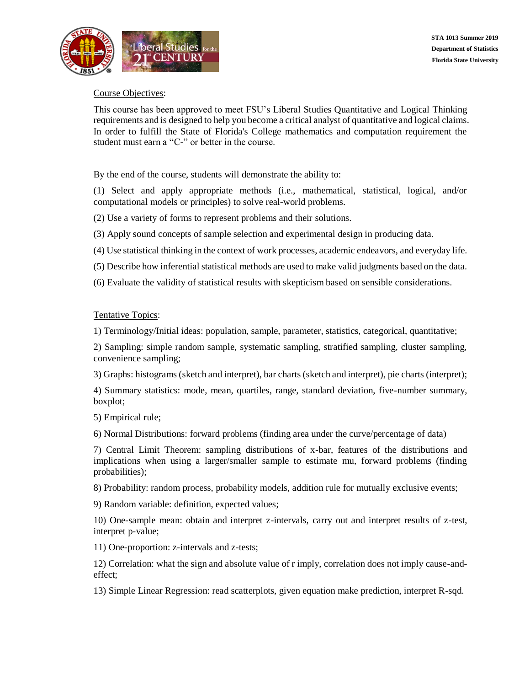

## Course Objectives:

This course has been approved to meet FSU's Liberal Studies Quantitative and Logical Thinking requirements and is designed to help you become a critical analyst of quantitative and logical claims. In order to fulfill the State of Florida's College mathematics and computation requirement the student must earn a "C-" or better in the course.

By the end of the course, students will demonstrate the ability to:

(1) Select and apply appropriate methods (i.e., mathematical, statistical, logical, and/or computational models or principles) to solve real-world problems.

(2) Use a variety of forms to represent problems and their solutions.

(3) Apply sound concepts of sample selection and experimental design in producing data.

(4) Use statistical thinking in the context of work processes, academic endeavors, and everyday life.

- (5) Describe how inferential statistical methods are used to make valid judgments based on the data.
- (6) Evaluate the validity of statistical results with skepticism based on sensible considerations.

### Tentative Topics:

1) Terminology/Initial ideas: population, sample, parameter, statistics, categorical, quantitative;

2) Sampling: simple random sample, systematic sampling, stratified sampling, cluster sampling, convenience sampling;

3) Graphs: histograms (sketch and interpret), bar charts (sketch and interpret), pie charts (interpret);

4) Summary statistics: mode, mean, quartiles, range, standard deviation, five-number summary, boxplot;

5) Empirical rule;

6) Normal Distributions: forward problems (finding area under the curve/percentage of data)

7) Central Limit Theorem: sampling distributions of x-bar, features of the distributions and implications when using a larger/smaller sample to estimate mu, forward problems (finding probabilities);

8) Probability: random process, probability models, addition rule for mutually exclusive events;

9) Random variable: definition, expected values;

10) One-sample mean: obtain and interpret z-intervals, carry out and interpret results of z-test, interpret p-value;

11) One-proportion: z-intervals and z-tests;

12) Correlation: what the sign and absolute value of r imply, correlation does not imply cause-andeffect;

13) Simple Linear Regression: read scatterplots, given equation make prediction, interpret R-sqd.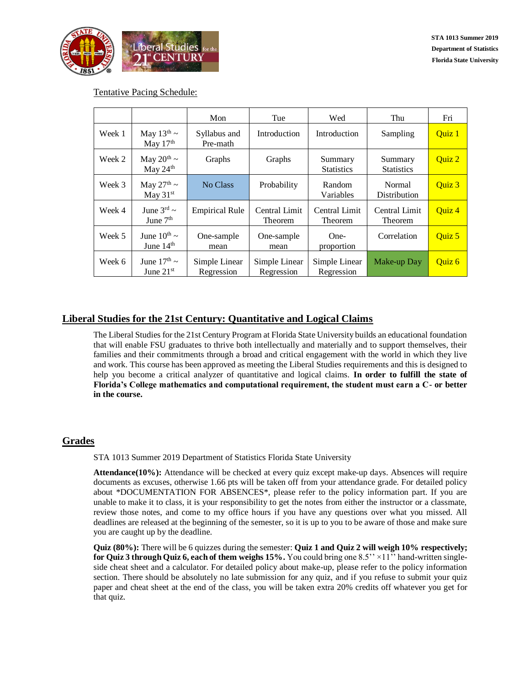

### Tentative Pacing Schedule:

|        |                                      | Mon                         | Tue                                    | Wed                          | Thu                          | Fri    |
|--------|--------------------------------------|-----------------------------|----------------------------------------|------------------------------|------------------------------|--------|
| Week 1 | May $13^{\text{th}}$ ~<br>May $17th$ | Syllabus and<br>Pre-math    | Introduction                           | Introduction                 | Sampling                     | Quiz 1 |
| Week 2 | May $20^{th}$ ~<br>May 24th          | Graphs                      | Graphs                                 | Summary<br><b>Statistics</b> | Summary<br><b>Statistics</b> | Quiz 2 |
| Week 3 | May $27^{\text{th}}$ ~<br>May $31st$ | No Class                    | Probability                            | Random<br>Variables          | Normal<br>Distribution       |        |
| Week 4 | June $3^{rd}$ ~<br>June $7th$        | <b>Empirical Rule</b>       | <b>Central Limit</b><br><b>Theorem</b> | Central Limit<br>Theorem     | Central Limit<br>Theorem     | Quiz 4 |
| Week 5 | June $10^{th}$ ~<br>June $14th$      | One-sample<br>mean          | One-sample<br>mean                     | One-<br>proportion           | Correlation                  | Quiz 5 |
| Week 6 | June $17th$ ~<br>June $21st$         | Simple Linear<br>Regression | Simple Linear<br>Regression            | Simple Linear<br>Regression  | Make-up Day                  | Quiz 6 |

# **Liberal Studies for the 21st Century: Quantitative and Logical Claims**

The Liberal Studies for the 21st Century Program at Florida State University builds an educational foundation that will enable FSU graduates to thrive both intellectually and materially and to support themselves, their families and their commitments through a broad and critical engagement with the world in which they live and work. This course has been approved as meeting the Liberal Studies requirements and this is designed to help you become a critical analyzer of quantitative and logical claims. **In order to fulfill the state of Florida's College mathematics and computational requirement, the student must earn a C- or better in the course.**

# **Grades**

STA 1013 Summer 2019 Department of Statistics Florida State University

**Attendance(10%):** Attendance will be checked at every quiz except make-up days. Absences will require documents as excuses, otherwise 1.66 pts will be taken off from your attendance grade. For detailed policy about \*DOCUMENTATION FOR ABSENCES\*, please refer to the policy information part. If you are unable to make it to class, it is your responsibility to get the notes from either the instructor or a classmate, review those notes, and come to my office hours if you have any questions over what you missed. All deadlines are released at the beginning of the semester, so it is up to you to be aware of those and make sure you are caught up by the deadline.

**Quiz (80%):** There will be 6 quizzes during the semester: **Quiz 1 and Quiz 2 will weigh 10% respectively; for Quiz 3 through Quiz 6, each of them weighs 15%.** You could bring one 8.5'' ×11'' hand-written singleside cheat sheet and a calculator. For detailed policy about make-up, please refer to the policy information section. There should be absolutely no late submission for any quiz, and if you refuse to submit your quiz paper and cheat sheet at the end of the class, you will be taken extra 20% credits off whatever you get for that quiz.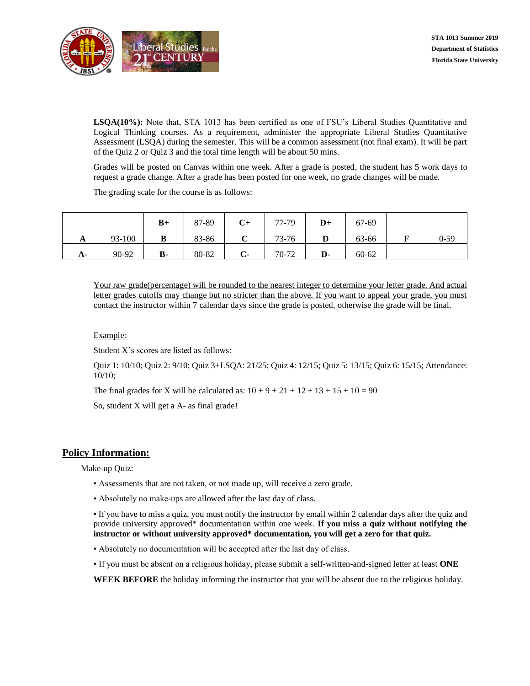

**LSQA(10%):** Note that, STA 1013 has been certified as one of FSU's Liberal Studies Quantitative and Logical Thinking courses. As a requirement, administer the appropriate Liberal Studies Quantitative Assessment (LSQA) during the semester. This will be a common assessment (not final exam). It will be part of the Quiz 2 or Quiz 3 and the total time length will be about 50 mins.

Grades will be posted on Canvas within one week. After a grade is posted, the student has 5 work days to request a grade change. After a grade has been posted for one week, no grade changes will be made.

The grading scale for the course is as follows:

|    |        | $B+$      | 87-89 | $\mathbf{C}^+$ | 77-79 | $\mathbf{D}+$ | 67-69     |          |
|----|--------|-----------|-------|----------------|-------|---------------|-----------|----------|
| A  | 93-100 | в         | 83-86 |                | 73-76 |               | 63-66     | $0 - 59$ |
| A- | 90-92  | <b>B-</b> | 80-82 | $C-$           | 70-72 | D-            | $60 - 62$ |          |

Your raw grade(percentage) will be rounded to the nearest integer to determine your letter grade. And actual letter grades cutoffs may change but no stricter than the above. If you want to appeal your grade, you must contact the instructor within 7 calendar days since the grade is posted, otherwise the grade will be final.

#### Example:

Student X's scores are listed as follows:

Quiz 1: 10/10; Quiz 2: 9/10; Quiz 3+LSQA: 21/25; Quiz 4: 12/15; Quiz 5: 13/15; Quiz 6: 15/15; Attendance: 10/10;

The final grades for X will be calculated as:  $10 + 9 + 21 + 12 + 13 + 15 + 10 = 90$ 

So, student X will get a A- as final grade!

### **Policy Information:**

Make-up Quiz:

- Assessments that are not taken, or not made up, will receive a zero grade.
- Absolutely no make-ups are allowed after the last day of class.

• If you have to miss a quiz, you must notify the instructor by email within 2 calendar days after the quiz and provide university approved\* documentation within one week. **If you miss a quiz without notifying the instructor or without university approved\* documentation, you will get a zero for that quiz.**

- Absolutely no documentation will be accepted after the last day of class.
- If you must be absent on a religious holiday, please submit a self-written-and-signed letter at least **ONE**

**WEEK BEFORE** the holiday informing the instructor that you will be absent due to the religious holiday.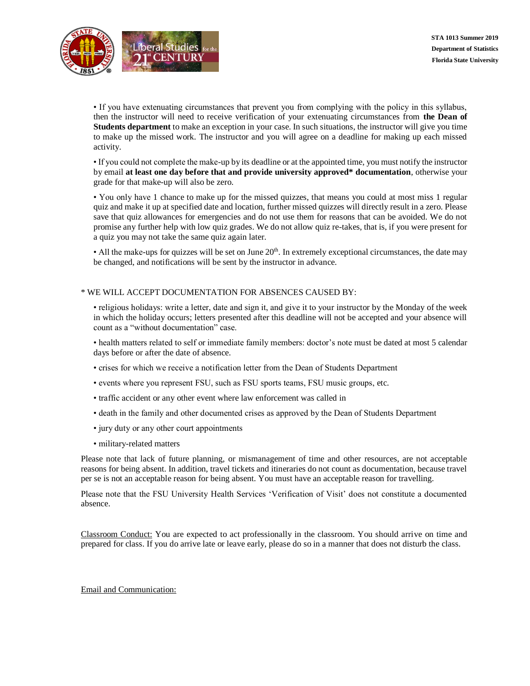

• If you have extenuating circumstances that prevent you from complying with the policy in this syllabus, then the instructor will need to receive verification of your extenuating circumstances from **the Dean of Students department** to make an exception in your case. In such situations, the instructor will give you time to make up the missed work. The instructor and you will agree on a deadline for making up each missed activity.

• If you could not complete the make-up by its deadline or at the appointed time, you must notify the instructor by email **at least one day before that and provide university approved\* documentation**, otherwise your grade for that make-up will also be zero.

• You only have 1 chance to make up for the missed quizzes, that means you could at most miss 1 regular quiz and make it up at specified date and location, further missed quizzes will directly result in a zero. Please save that quiz allowances for emergencies and do not use them for reasons that can be avoided. We do not promise any further help with low quiz grades. We do not allow quiz re-takes, that is, if you were present for a quiz you may not take the same quiz again later.

• All the make-ups for quizzes will be set on June  $20<sup>th</sup>$ . In extremely exceptional circumstances, the date may be changed, and notifications will be sent by the instructor in advance.

#### \* WE WILL ACCEPT DOCUMENTATION FOR ABSENCES CAUSED BY:

• religious holidays: write a letter, date and sign it, and give it to your instructor by the Monday of the week in which the holiday occurs; letters presented after this deadline will not be accepted and your absence will count as a "without documentation" case.

• health matters related to self or immediate family members: doctor's note must be dated at most 5 calendar days before or after the date of absence.

- crises for which we receive a notification letter from the Dean of Students Department
- events where you represent FSU, such as FSU sports teams, FSU music groups, etc.
- traffic accident or any other event where law enforcement was called in
- death in the family and other documented crises as approved by the Dean of Students Department
- jury duty or any other court appointments
- military-related matters

Please note that lack of future planning, or mismanagement of time and other resources, are not acceptable reasons for being absent. In addition, travel tickets and itineraries do not count as documentation, because travel per se is not an acceptable reason for being absent. You must have an acceptable reason for travelling.

Please note that the FSU University Health Services 'Verification of Visit' does not constitute a documented absence.

Classroom Conduct: You are expected to act professionally in the classroom. You should arrive on time and prepared for class. If you do arrive late or leave early, please do so in a manner that does not disturb the class.

#### Email and Communication: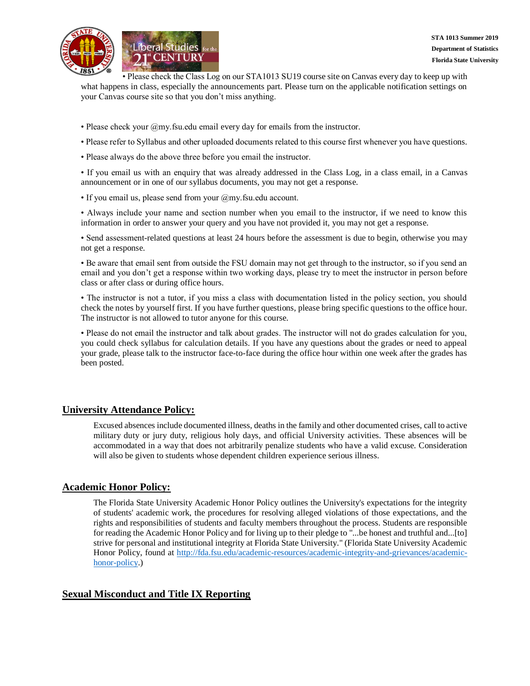

• Please check the Class Log on our STA1013 SU19 course site on Canvas every day to keep up with what happens in class, especially the announcements part. Please turn on the applicable notification settings on your Canvas course site so that you don't miss anything.

- Please check your @my.fsu.edu email every day for emails from the instructor.
- Please refer to Syllabus and other uploaded documents related to this course first whenever you have questions.
- Please always do the above three before you email the instructor.

• If you email us with an enquiry that was already addressed in the Class Log, in a class email, in a Canvas announcement or in one of our syllabus documents, you may not get a response.

• If you email us, please send from your @my.fsu.edu account.

• Always include your name and section number when you email to the instructor, if we need to know this information in order to answer your query and you have not provided it, you may not get a response.

• Send assessment-related questions at least 24 hours before the assessment is due to begin, otherwise you may not get a response.

• Be aware that email sent from outside the FSU domain may not get through to the instructor, so if you send an email and you don't get a response within two working days, please try to meet the instructor in person before class or after class or during office hours.

• The instructor is not a tutor, if you miss a class with documentation listed in the policy section, you should check the notes by yourself first. If you have further questions, please bring specific questions to the office hour. The instructor is not allowed to tutor anyone for this course.

• Please do not email the instructor and talk about grades. The instructor will not do grades calculation for you, you could check syllabus for calculation details. If you have any questions about the grades or need to appeal your grade, please talk to the instructor face-to-face during the office hour within one week after the grades has been posted.

### **University Attendance Policy:**

Excused absences include documented illness, deaths in the family and other documented crises, call to active military duty or jury duty, religious holy days, and official University activities. These absences will be accommodated in a way that does not arbitrarily penalize students who have a valid excuse. Consideration will also be given to students whose dependent children experience serious illness.

### **Academic Honor Policy:**

The Florida State University Academic Honor Policy outlines the University's expectations for the integrity of students' academic work, the procedures for resolving alleged violations of those expectations, and the rights and responsibilities of students and faculty members throughout the process. Students are responsible for reading the Academic Honor Policy and for living up to their pledge to "...be honest and truthful and...[to] strive for personal and institutional integrity at Florida State University." (Florida State University Academic Honor Policy, found at [http://fda.fsu.edu/academic-resources/academic-integrity-and-grievances/academic](http://fda.fsu.edu/academic-resources/academic-integrity-and-grievances/academic-honor-policy)[honor-policy.](http://fda.fsu.edu/academic-resources/academic-integrity-and-grievances/academic-honor-policy))

### **Sexual Misconduct and Title IX Reporting**